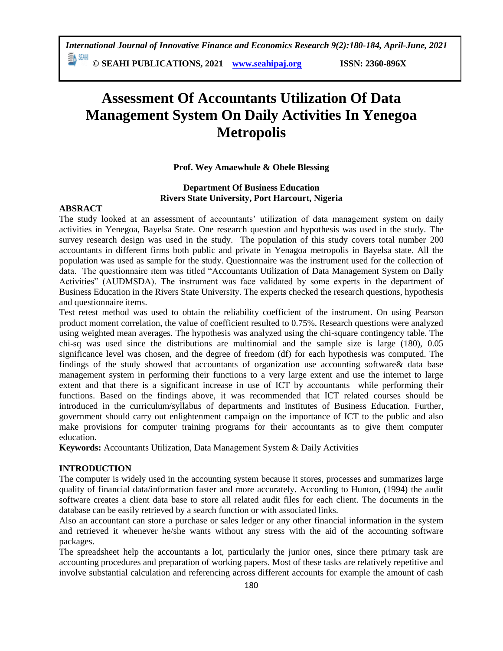**© SEAHI PUBLICATIONS, 2021 [www.seahipaj.org](http://www.seahipaj.org/) ISSN: 2360-896X**

# **Assessment Of Accountants Utilization Of Data Management System On Daily Activities In Yenegoa Metropolis**

# **Prof. Wey Amaewhule & Obele Blessing**

# **Department Of Business Education Rivers State University, Port Harcourt, Nigeria**

## **ABSRACT**

The study looked at an assessment of accountants' utilization of data management system on daily activities in Yenegoa, Bayelsa State. One research question and hypothesis was used in the study. The survey research design was used in the study. The population of this study covers total number 200 accountants in different firms both public and private in Yenagoa metropolis in Bayelsa state. All the population was used as sample for the study. Questionnaire was the instrument used for the collection of data. The questionnaire item was titled "Accountants Utilization of Data Management System on Daily Activities" (AUDMSDA). The instrument was face validated by some experts in the department of Business Education in the Rivers State University. The experts checked the research questions, hypothesis and questionnaire items.

Test retest method was used to obtain the reliability coefficient of the instrument. On using Pearson product moment correlation, the value of coefficient resulted to 0.75%. Research questions were analyzed using weighted mean averages. The hypothesis was analyzed using the chi-square contingency table. The chi-sq was used since the distributions are multinomial and the sample size is large (180), 0.05 significance level was chosen, and the degree of freedom (df) for each hypothesis was computed. The findings of the study showed that accountants of organization use accounting software& data base management system in performing their functions to a very large extent and use the internet to large extent and that there is a significant increase in use of ICT by accountants while performing their functions. Based on the findings above, it was recommended that ICT related courses should be introduced in the curriculum/syllabus of departments and institutes of Business Education. Further, government should carry out enlightenment campaign on the importance of ICT to the public and also make provisions for computer training programs for their accountants as to give them computer education.

**Keywords:** Accountants Utilization, Data Management System & Daily Activities

# **INTRODUCTION**

The computer is widely used in the accounting system because it stores, processes and summarizes large quality of financial data/information faster and more accurately. According to Hunton, (1994) the audit software creates a client data base to store all related audit files for each client. The documents in the database can be easily retrieved by a search function or with associated links.

Also an accountant can store a purchase or sales ledger or any other financial information in the system and retrieved it whenever he/she wants without any stress with the aid of the accounting software packages.

The spreadsheet help the accountants a lot, particularly the junior ones, since there primary task are accounting procedures and preparation of working papers. Most of these tasks are relatively repetitive and involve substantial calculation and referencing across different accounts for example the amount of cash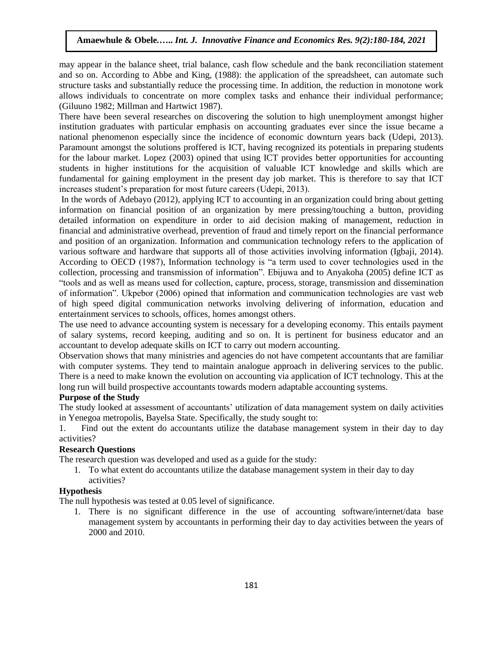may appear in the balance sheet, trial balance, cash flow schedule and the bank reconciliation statement and so on. According to Abbe and King, (1988): the application of the spreadsheet, can automate such structure tasks and substantially reduce the processing time. In addition, the reduction in monotone work allows individuals to concentrate on more complex tasks and enhance their individual performance; (Giluuno 1982; Millman and Hartwict 1987).

There have been several researches on discovering the solution to high unemployment amongst higher institution graduates with particular emphasis on accounting graduates ever since the issue became a national phenomenon especially since the incidence of economic downturn years back (Udepi, 2013). Paramount amongst the solutions proffered is ICT, having recognized its potentials in preparing students for the labour market. Lopez (2003) opined that using ICT provides better opportunities for accounting students in higher institutions for the acquisition of valuable ICT knowledge and skills which are fundamental for gaining employment in the present day job market. This is therefore to say that ICT increases student's preparation for most future careers (Udepi, 2013).

In the words of Adebayo (2012), applying ICT to accounting in an organization could bring about getting information on financial position of an organization by mere pressing/touching a button, providing detailed information on expenditure in order to aid decision making of management, reduction in financial and administrative overhead, prevention of fraud and timely report on the financial performance and position of an organization. Information and communication technology refers to the application of various software and hardware that supports all of those activities involving information (Igbaji, 2014). According to OECD (1987), Information technology is "a term used to cover technologies used in the collection, processing and transmission of information". Ebijuwa and to Anyakoha (2005) define ICT as "tools and as well as means used for collection, capture, process, storage, transmission and dissemination of information". Ukpebor (2006) opined that information and communication technologies are vast web of high speed digital communication networks involving delivering of information, education and entertainment services to schools, offices, homes amongst others.

The use need to advance accounting system is necessary for a developing economy. This entails payment of salary systems, record keeping, auditing and so on. It is pertinent for business educator and an accountant to develop adequate skills on ICT to carry out modern accounting.

Observation shows that many ministries and agencies do not have competent accountants that are familiar with computer systems. They tend to maintain analogue approach in delivering services to the public. There is a need to make known the evolution on accounting via application of ICT technology. This at the long run will build prospective accountants towards modern adaptable accounting systems.

#### **Purpose of the Study**

The study looked at assessment of accountants' utilization of data management system on daily activities in Yenegoa metropolis, Bayelsa State. Specifically, the study sought to:

1. Find out the extent do accountants utilize the database management system in their day to day activities?

## **Research Questions**

The research question was developed and used as a guide for the study:

1. To what extent do accountants utilize the database management system in their day to day activities?

#### **Hypothesis**

The null hypothesis was tested at 0.05 level of significance.

1. There is no significant difference in the use of accounting software/internet/data base management system by accountants in performing their day to day activities between the years of 2000 and 2010.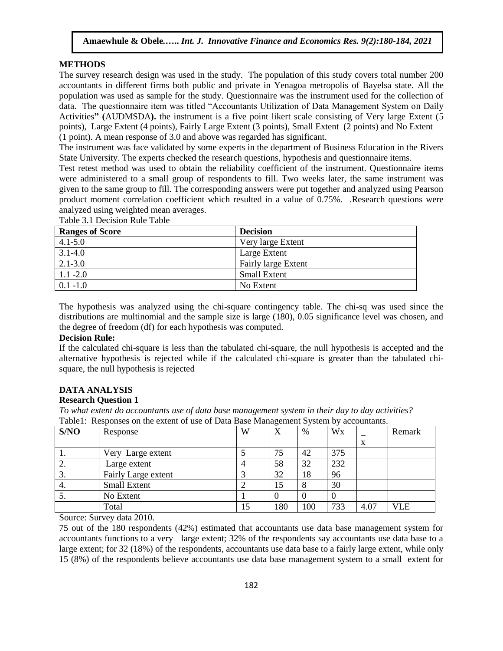#### **METHODS**

The survey research design was used in the study. The population of this study covers total number 200 accountants in different firms both public and private in Yenagoa metropolis of Bayelsa state. All the population was used as sample for the study. Questionnaire was the instrument used for the collection of data. The questionnaire item was titled "Accountants Utilization of Data Management System on Daily Activities**" (**AUDMSDA**).** the instrument is a five point likert scale consisting of Very large Extent (5 points), Large Extent (4 points), Fairly Large Extent (3 points), Small Extent (2 points) and No Extent (1 point). A mean response of 3.0 and above was regarded has significant.

The instrument was face validated by some experts in the department of Business Education in the Rivers State University. The experts checked the research questions, hypothesis and questionnaire items.

Test retest method was used to obtain the reliability coefficient of the instrument. Questionnaire items were administered to a small group of respondents to fill. Two weeks later, the same instrument was given to the same group to fill. The corresponding answers were put together and analyzed using Pearson product moment correlation coefficient which resulted in a value of 0.75%. .Research questions were analyzed using weighted mean averages.

| <b>Ranges of Score</b> | <b>Decision</b>            |
|------------------------|----------------------------|
| $4.1 - 5.0$            | Very large Extent          |
| $3.1 - 4.0$            | Large Extent               |
| $2.1 - 3.0$            | <b>Fairly large Extent</b> |
| $1.1 - 2.0$            | <b>Small Extent</b>        |
| $0.1 - 1.0$            | No Extent                  |

Table 3.1 Decision Rule Table

The hypothesis was analyzed using the chi-square contingency table. The chi-sq was used since the distributions are multinomial and the sample size is large (180), 0.05 significance level was chosen, and the degree of freedom (df) for each hypothesis was computed.

## **Decision Rule:**

If the calculated chi-square is less than the tabulated chi-square, the null hypothesis is accepted and the alternative hypothesis is rejected while if the calculated chi-square is greater than the tabulated chisquare, the null hypothesis is rejected

## **DATA ANALYSIS**

### **Research Question 1**

*To what extent do accountants use of data base management system in their day to day activities?*  Table1: Responses on the extent of use of Data Base Management System by accountants.

| S/NO | Response            | W  | X   | %   | Wx  |      | Remark |
|------|---------------------|----|-----|-----|-----|------|--------|
|      |                     |    |     |     |     | X    |        |
| . .  | Very Large extent   |    | 75  | 42  | 375 |      |        |
| Ź.   | Large extent        |    | 58  | 32  | 232 |      |        |
| 3.   | Fairly Large extent |    | 32  | 18  | 96  |      |        |
| 4.   | <b>Small Extent</b> |    | 15  |     | 30  |      |        |
| J.   | No Extent           |    |     |     |     |      |        |
|      | Total               | 15 | 180 | 100 | 733 | 4.07 | VLE    |

Source: Survey data 2010.

75 out of the 180 respondents (42%) estimated that accountants use data base management system for accountants functions to a very large extent; 32% of the respondents say accountants use data base to a large extent; for 32 (18%) of the respondents, accountants use data base to a fairly large extent, while only 15 (8%) of the respondents believe accountants use data base management system to a small extent for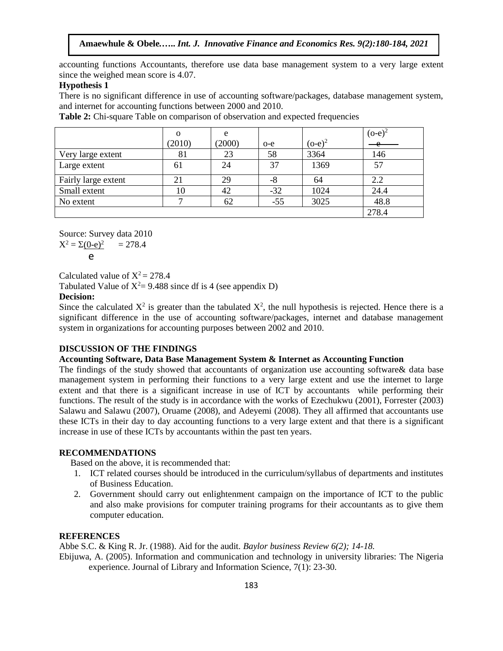accounting functions Accountants, therefore use data base management system to a very large extent since the weighed mean score is 4.07.

## **Hypothesis 1**

There is no significant difference in use of accounting software/packages, database management system, and internet for accounting functions between 2000 and 2010.

 o (2010) e  $(2000)$  | o-e  $(o-e)^2$  $(o-e)^2$  $\Delta$ Very large extent  $\begin{array}{|c|c|c|c|c|c|c|c|c|} \hline 81 & 23 & 58 & 3364 & 146 \ \hline \end{array}$ Large extent 1 61 24 37 1369 57 Fairly large extent  $\begin{array}{|c|c|c|c|c|c|c|c|c|} \hline \end{array}$  21  $\begin{array}{|c|c|c|c|c|c|c|c|} \hline 29 & -8 & 64 & 2.2 \\ \hline \end{array}$ Small extent 10 42 -32 1024 24.4 No extent 1 7 62 -55 3025 48.8 278.4

**Table 2:** Chi-square Table on comparison of observation and expected frequencies

Source: Survey data 2010  $X^2 = \Sigma(0-e)^2 = 278.4$ 

$$
\mathsf{e}
$$

Calculated value of  $X^2 = 278.4$ 

Tabulated Value of  $X^2 = 9.488$  since df is 4 (see appendix D)

## **Decision:**

Since the calculated  $X^2$  is greater than the tabulated  $X^2$ , the null hypothesis is rejected. Hence there is a significant difference in the use of accounting software/packages, internet and database management system in organizations for accounting purposes between 2002 and 2010.

## **DISCUSSION OF THE FINDINGS**

#### **Accounting Software, Data Base Management System & Internet as Accounting Function**

The findings of the study showed that accountants of organization use accounting software& data base management system in performing their functions to a very large extent and use the internet to large extent and that there is a significant increase in use of ICT by accountants while performing their functions. The result of the study is in accordance with the works of Ezechukwu (2001), Forrester (2003) Salawu and Salawu (2007), Oruame (2008), and Adeyemi (2008). They all affirmed that accountants use these ICTs in their day to day accounting functions to a very large extent and that there is a significant increase in use of these ICTs by accountants within the past ten years.

## **RECOMMENDATIONS**

Based on the above, it is recommended that:

- 1. ICT related courses should be introduced in the curriculum/syllabus of departments and institutes of Business Education.
- 2. Government should carry out enlightenment campaign on the importance of ICT to the public and also make provisions for computer training programs for their accountants as to give them computer education.

#### **REFERENCES**

Abbe S.C. & King R. Jr. (1988). Aid for the audit*. Baylor business Review 6(2); 14-18.*

Ebijuwa, A. (2005). Information and communication and technology in university libraries: The Nigeria experience. Journal of Library and Information Science, 7(1): 23-30.